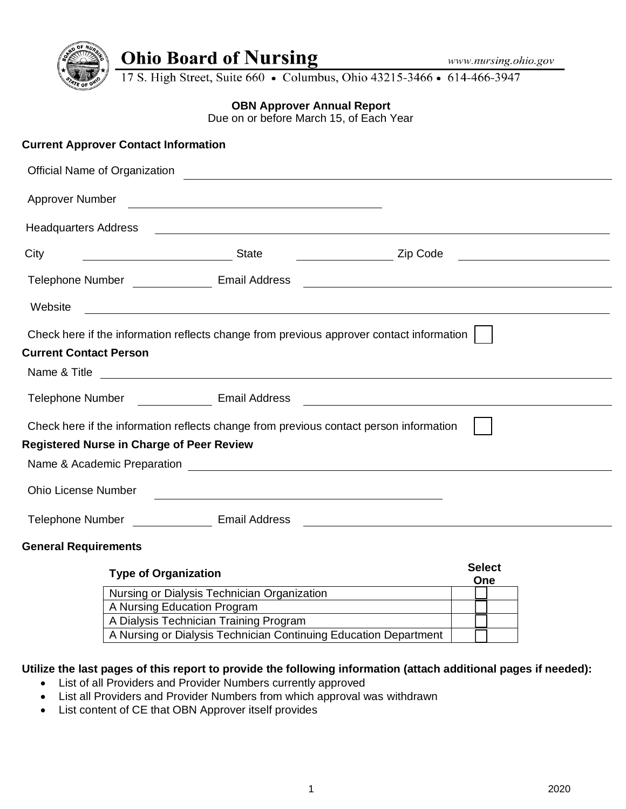

# **Ohio Board of Nursing**

17 S. High Street, Suite 660 • Columbus, Ohio 43215-3466 • 614-466-3947

### **OBN Approver Annual Report**

Due on or before March 15, of Each Year

|                               | <b>Current Approver Contact Information</b>                                                                                                                                                                                         |                                                             |  |
|-------------------------------|-------------------------------------------------------------------------------------------------------------------------------------------------------------------------------------------------------------------------------------|-------------------------------------------------------------|--|
| Official Name of Organization | <u> 1989 - Andrea State Barbara, amerikan personal di sebagai personal di sebagai personal di sebagai personal d</u>                                                                                                                |                                                             |  |
| Approver Number               |                                                                                                                                                                                                                                     |                                                             |  |
| <b>Headquarters Address</b>   |                                                                                                                                                                                                                                     | <u> 1989 - Johann Stoff, amerikansk politiker (d. 1989)</u> |  |
| City                          |                                                                                                                                                                                                                                     | <b>Example 2</b> Zip Code                                   |  |
|                               | Telephone Number ________________ Email Address                                                                                                                                                                                     |                                                             |  |
| Website                       | and the control of the control of the control of the control of the control of the control of the control of the                                                                                                                    |                                                             |  |
|                               | Check here if the information reflects change from previous approver contact information                                                                                                                                            |                                                             |  |
| <b>Current Contact Person</b> |                                                                                                                                                                                                                                     |                                                             |  |
|                               |                                                                                                                                                                                                                                     |                                                             |  |
|                               | Telephone Number _____________ Email Address                                                                                                                                                                                        |                                                             |  |
|                               | Check here if the information reflects change from previous contact person information                                                                                                                                              |                                                             |  |
|                               | <b>Registered Nurse in Charge of Peer Review</b>                                                                                                                                                                                    |                                                             |  |
|                               | Name & Academic Preparation <b>contracts</b> the contract of the contract of the contract of the contract of the contract of the contract of the contract of the contract of the contract of the contract of the contract of the co |                                                             |  |
| <b>Ohio License Number</b>    | <u> 1980 - Andrea Station Barbara, amerikan personal (h. 1980).</u>                                                                                                                                                                 |                                                             |  |
|                               | Telephone Number _________________ Email Address                                                                                                                                                                                    | <u> 1989 - John Stein, Amerikaansk politiker (</u>          |  |
| <b>General Requirements</b>   |                                                                                                                                                                                                                                     |                                                             |  |
|                               | <b>Type of Organization</b>                                                                                                                                                                                                         | <b>Select</b><br>One                                        |  |
|                               | Nursing or Dialysis Technician Organization                                                                                                                                                                                         |                                                             |  |
|                               | A Nursing Education Program                                                                                                                                                                                                         |                                                             |  |

### **Utilize the last pages of this report to provide the following information (attach additional pages if needed):**

A Nursing or Dialysis Technician Continuing Education Department

• List of all Providers and Provider Numbers currently approved

A Dialysis Technician Training Program

- List all Providers and Provider Numbers from which approval was withdrawn
- List content of CE that OBN Approver itself provides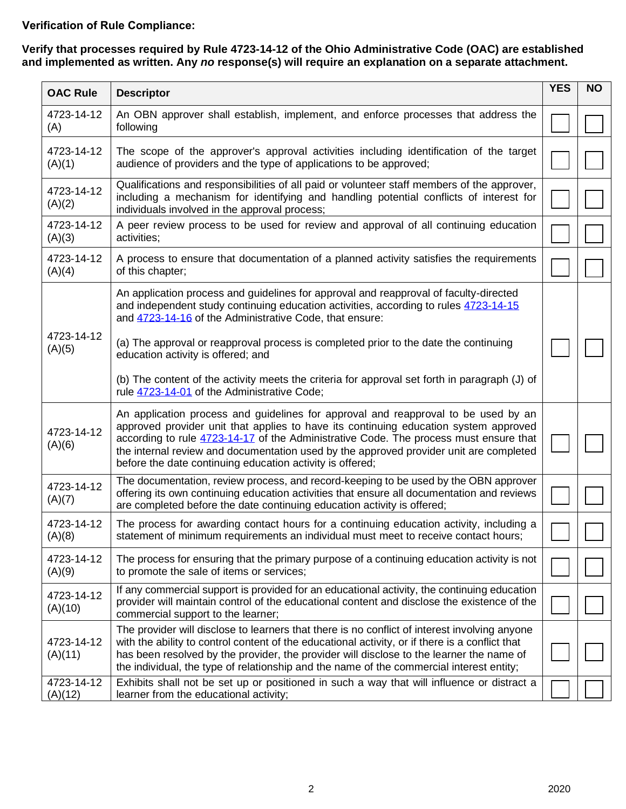# **Verification of Rule Compliance:**

#### **Verify that processes required by Rule 4723-14-12 of the Ohio Administrative Code (OAC) are established and implemented as written. Any** *no* **response(s) will require an explanation on a separate attachment.**

| <b>OAC Rule</b>       | <b>Descriptor</b>                                                                                                                                                                                                                                                                                                                                                                                                          | <b>YES</b> | <b>NO</b> |
|-----------------------|----------------------------------------------------------------------------------------------------------------------------------------------------------------------------------------------------------------------------------------------------------------------------------------------------------------------------------------------------------------------------------------------------------------------------|------------|-----------|
| 4723-14-12<br>(A)     | An OBN approver shall establish, implement, and enforce processes that address the<br>following                                                                                                                                                                                                                                                                                                                            |            |           |
| 4723-14-12<br>(A)(1)  | The scope of the approver's approval activities including identification of the target<br>audience of providers and the type of applications to be approved;                                                                                                                                                                                                                                                               |            |           |
| 4723-14-12<br>(A)(2)  | Qualifications and responsibilities of all paid or volunteer staff members of the approver,<br>including a mechanism for identifying and handling potential conflicts of interest for<br>individuals involved in the approval process;                                                                                                                                                                                     |            |           |
| 4723-14-12<br>(A)(3)  | A peer review process to be used for review and approval of all continuing education<br>activities;                                                                                                                                                                                                                                                                                                                        |            |           |
| 4723-14-12<br>(A)(4)  | A process to ensure that documentation of a planned activity satisfies the requirements<br>of this chapter;                                                                                                                                                                                                                                                                                                                |            |           |
|                       | An application process and guidelines for approval and reapproval of faculty-directed<br>and independent study continuing education activities, according to rules 4723-14-15<br>and 4723-14-16 of the Administrative Code, that ensure:                                                                                                                                                                                   |            |           |
| 4723-14-12<br>(A)(5)  | (a) The approval or reapproval process is completed prior to the date the continuing<br>education activity is offered; and                                                                                                                                                                                                                                                                                                 |            |           |
|                       | (b) The content of the activity meets the criteria for approval set forth in paragraph (J) of<br>rule 4723-14-01 of the Administrative Code;                                                                                                                                                                                                                                                                               |            |           |
| 4723-14-12<br>(A)(6)  | An application process and guidelines for approval and reapproval to be used by an<br>approved provider unit that applies to have its continuing education system approved<br>according to rule 4723-14-17 of the Administrative Code. The process must ensure that<br>the internal review and documentation used by the approved provider unit are completed<br>before the date continuing education activity is offered; |            |           |
| 4723-14-12<br>(A)(7)  | The documentation, review process, and record-keeping to be used by the OBN approver<br>offering its own continuing education activities that ensure all documentation and reviews<br>are completed before the date continuing education activity is offered;                                                                                                                                                              |            |           |
| 4723-14-12<br>(A)(8)  | The process for awarding contact hours for a continuing education activity, including a<br>statement of minimum requirements an individual must meet to receive contact hours;                                                                                                                                                                                                                                             |            |           |
| 4723-14-12<br>(A)(9)  | The process for ensuring that the primary purpose of a continuing education activity is not<br>to promote the sale of items or services;                                                                                                                                                                                                                                                                                   |            |           |
| 4723-14-12<br>(A)(10) | If any commercial support is provided for an educational activity, the continuing education<br>provider will maintain control of the educational content and disclose the existence of the<br>commercial support to the learner;                                                                                                                                                                                           |            |           |
| 4723-14-12<br>(A)(11) | The provider will disclose to learners that there is no conflict of interest involving anyone<br>with the ability to control content of the educational activity, or if there is a conflict that<br>has been resolved by the provider, the provider will disclose to the learner the name of<br>the individual, the type of relationship and the name of the commercial interest entity;                                   |            |           |
| 4723-14-12<br>(A)(12) | Exhibits shall not be set up or positioned in such a way that will influence or distract a<br>learner from the educational activity;                                                                                                                                                                                                                                                                                       |            |           |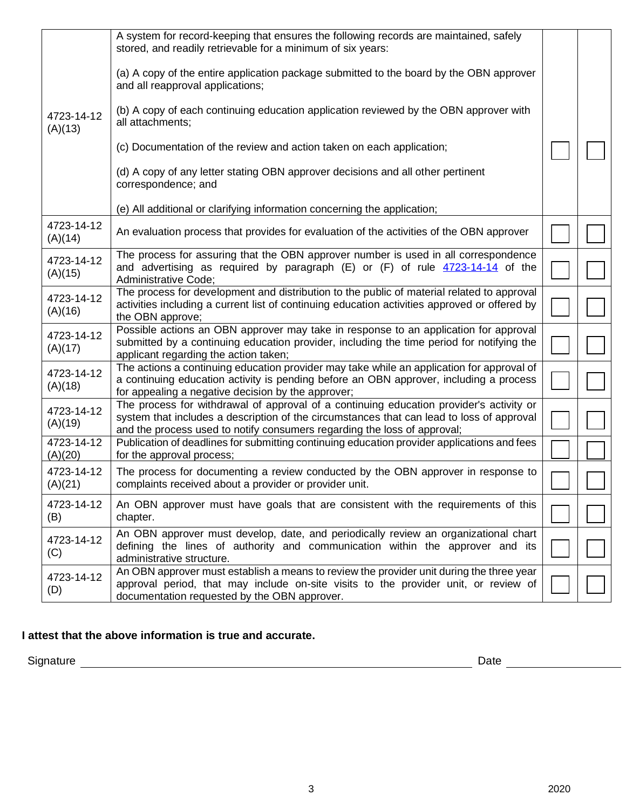|                       | A system for record-keeping that ensures the following records are maintained, safely                                                                                                                                                                            |  |
|-----------------------|------------------------------------------------------------------------------------------------------------------------------------------------------------------------------------------------------------------------------------------------------------------|--|
|                       | stored, and readily retrievable for a minimum of six years:                                                                                                                                                                                                      |  |
|                       | (a) A copy of the entire application package submitted to the board by the OBN approver<br>and all reapproval applications;                                                                                                                                      |  |
| 4723-14-12<br>(A)(13) | (b) A copy of each continuing education application reviewed by the OBN approver with<br>all attachments;                                                                                                                                                        |  |
|                       | (c) Documentation of the review and action taken on each application;                                                                                                                                                                                            |  |
|                       | (d) A copy of any letter stating OBN approver decisions and all other pertinent<br>correspondence; and                                                                                                                                                           |  |
|                       | (e) All additional or clarifying information concerning the application;                                                                                                                                                                                         |  |
| 4723-14-12<br>(A)(14) | An evaluation process that provides for evaluation of the activities of the OBN approver                                                                                                                                                                         |  |
| 4723-14-12<br>(A)(15) | The process for assuring that the OBN approver number is used in all correspondence<br>and advertising as required by paragraph $(E)$ or $(F)$ of rule $4723-14-14$ of the<br>Administrative Code;                                                               |  |
| 4723-14-12<br>(A)(16) | The process for development and distribution to the public of material related to approval<br>activities including a current list of continuing education activities approved or offered by<br>the OBN approve;                                                  |  |
| 4723-14-12<br>(A)(17) | Possible actions an OBN approver may take in response to an application for approval<br>submitted by a continuing education provider, including the time period for notifying the<br>applicant regarding the action taken;                                       |  |
| 4723-14-12<br>(A)(18) | The actions a continuing education provider may take while an application for approval of<br>a continuing education activity is pending before an OBN approver, including a process<br>for appealing a negative decision by the approver;                        |  |
| 4723-14-12<br>(A)(19) | The process for withdrawal of approval of a continuing education provider's activity or<br>system that includes a description of the circumstances that can lead to loss of approval<br>and the process used to notify consumers regarding the loss of approval; |  |
| 4723-14-12<br>(A)(20) | Publication of deadlines for submitting continuing education provider applications and fees<br>for the approval process;                                                                                                                                         |  |
| 4723-14-12<br>(A)(21) | The process for documenting a review conducted by the OBN approver in response to<br>complaints received about a provider or provider unit.                                                                                                                      |  |
| 4723-14-12<br>(B)     | An OBN approver must have goals that are consistent with the requirements of this<br>chapter.                                                                                                                                                                    |  |
| 4723-14-12<br>(C)     | An OBN approver must develop, date, and periodically review an organizational chart<br>defining the lines of authority and communication within the approver and its<br>administrative structure.                                                                |  |
| 4723-14-12<br>(D)     | An OBN approver must establish a means to review the provider unit during the three year<br>approval period, that may include on-site visits to the provider unit, or review of<br>documentation requested by the OBN approver.                                  |  |

## **I attest that the above information is true and accurate.**

Signature Date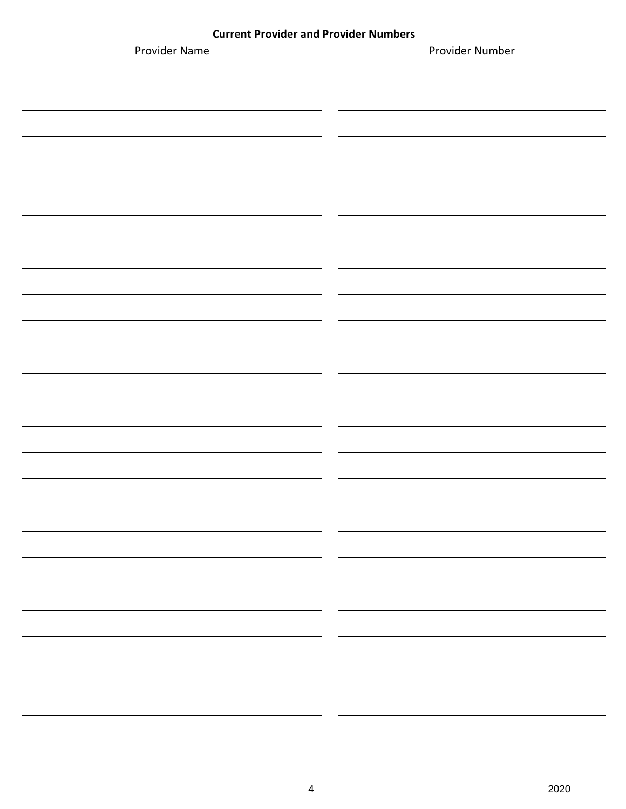#### **Current Provider and Provider Numbers**

| Provider Name | Provider Number |
|---------------|-----------------|
|               |                 |
|               |                 |
|               |                 |
|               |                 |
|               |                 |
|               |                 |
|               |                 |
|               |                 |
|               |                 |
|               |                 |
|               |                 |
|               |                 |
|               |                 |
|               |                 |
|               |                 |
|               |                 |
|               |                 |
|               |                 |
|               |                 |
|               |                 |
|               |                 |
|               |                 |
|               |                 |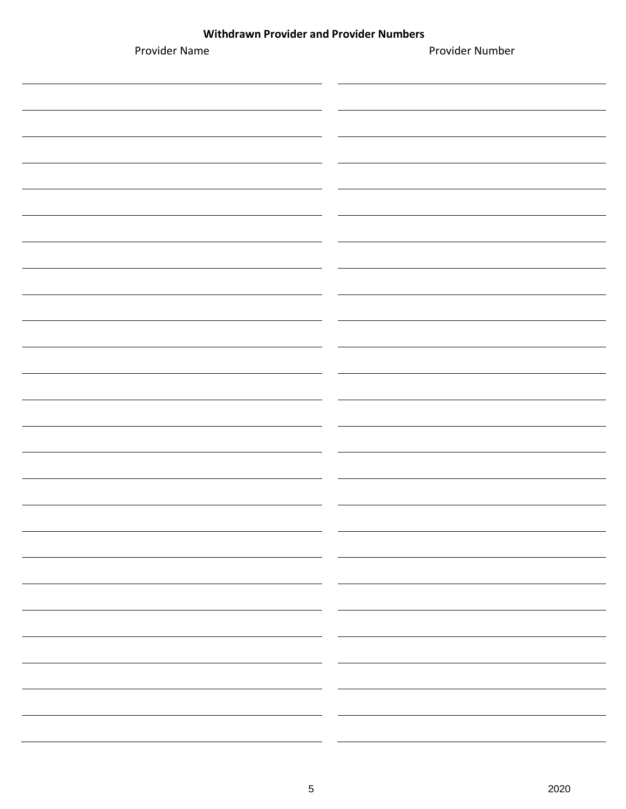#### **Withdrawn Provider and Provider Numbers**

| Provider Name | Provider Number |
|---------------|-----------------|
|               |                 |
|               |                 |
|               |                 |
|               |                 |
|               |                 |
|               |                 |
|               |                 |
|               |                 |
|               |                 |
|               |                 |
|               |                 |
|               |                 |
|               |                 |
|               |                 |
|               |                 |
|               | $\sim$          |
|               |                 |
|               |                 |
|               |                 |
|               |                 |
|               |                 |